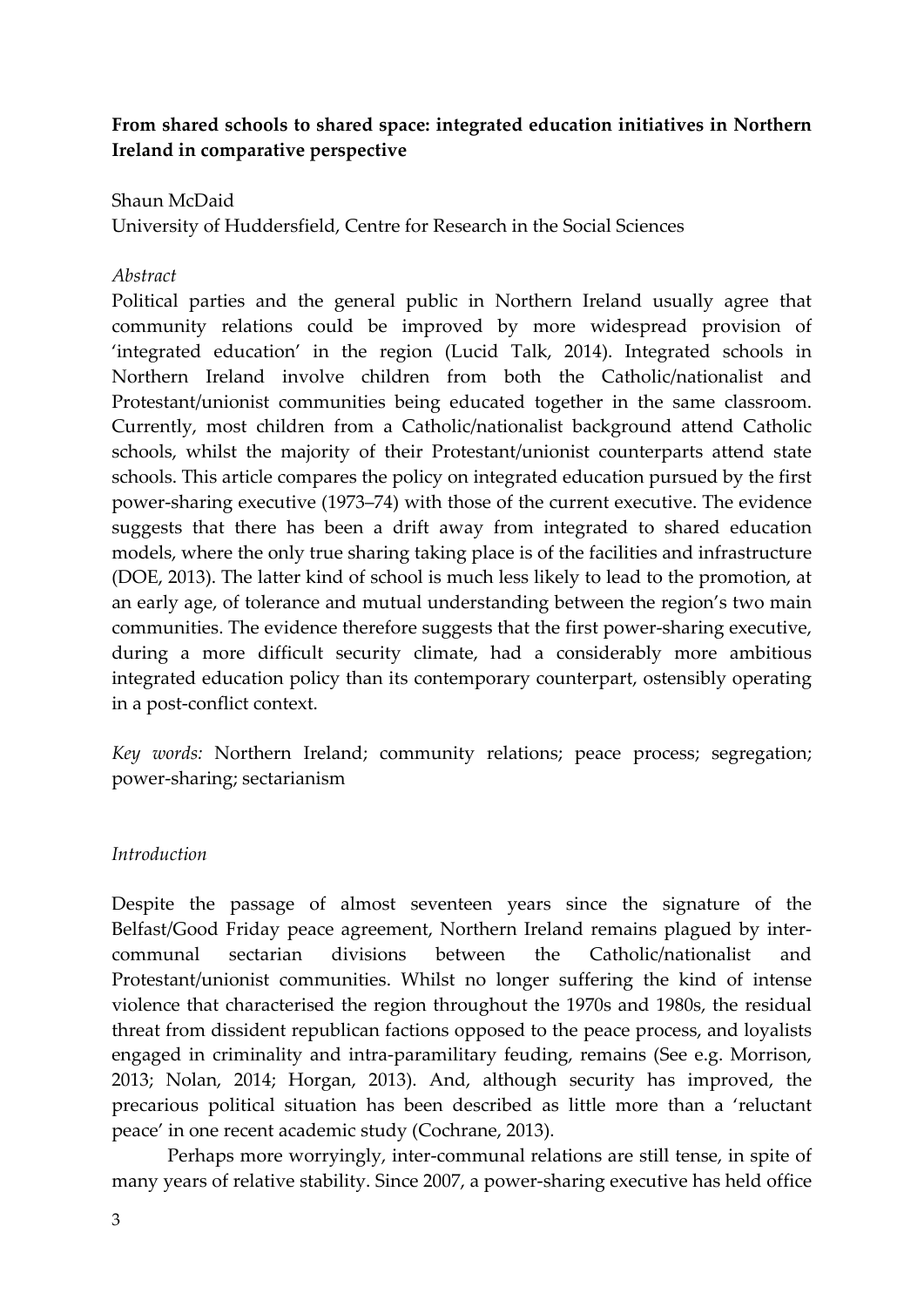# **From shared schools to shared space: integrated education initiatives in Northern Ireland in comparative perspective**

### Shaun McDaid

University of Huddersfield, Centre for Research in the Social Sciences

### *Abstract*

Political parties and the general public in Northern Ireland usually agree that community relations could be improved by more widespread provision of 'integrated education' in the region (Lucid Talk, 2014). Integrated schools in Northern Ireland involve children from both the Catholic/nationalist and Protestant/unionist communities being educated together in the same classroom. Currently, most children from a Catholic/nationalist background attend Catholic schools, whilst the majority of their Protestant/unionist counterparts attend state schools. This article compares the policy on integrated education pursued by the first power‐sharing executive (1973–74) with those of the current executive. The evidence suggests that there has been a drift away from integrated to shared education models, where the only true sharing taking place is of the facilities and infrastructure (DOE, 2013). The latter kind of school is much less likely to lead to the promotion, at an early age, of tolerance and mutual understanding between the region's two main communities. The evidence therefore suggests that the first power‐sharing executive, during a more difficult security climate, had a considerably more ambitious integrated education policy than its contemporary counterpart, ostensibly operating in a post‐conflict context.

*Key words:* Northern Ireland; community relations; peace process; segregation; power‐sharing; sectarianism

#### *Introduction*

Despite the passage of almost seventeen years since the signature of the Belfast/Good Friday peace agreement, Northern Ireland remains plagued by intercommunal sectarian divisions between the Catholic/nationalist and Protestant/unionist communities. Whilst no longer suffering the kind of intense violence that characterised the region throughout the 1970s and 1980s, the residual threat from dissident republican factions opposed to the peace process, and loyalists engaged in criminality and intra‐paramilitary feuding, remains (See e.g. Morrison, 2013; Nolan, 2014; Horgan, 2013). And, although security has improved, the precarious political situation has been described as little more than a 'reluctant peace' in one recent academic study (Cochrane, 2013).

Perhaps more worryingly, inter‐communal relations are still tense, in spite of many years of relative stability. Since 2007, a power-sharing executive has held office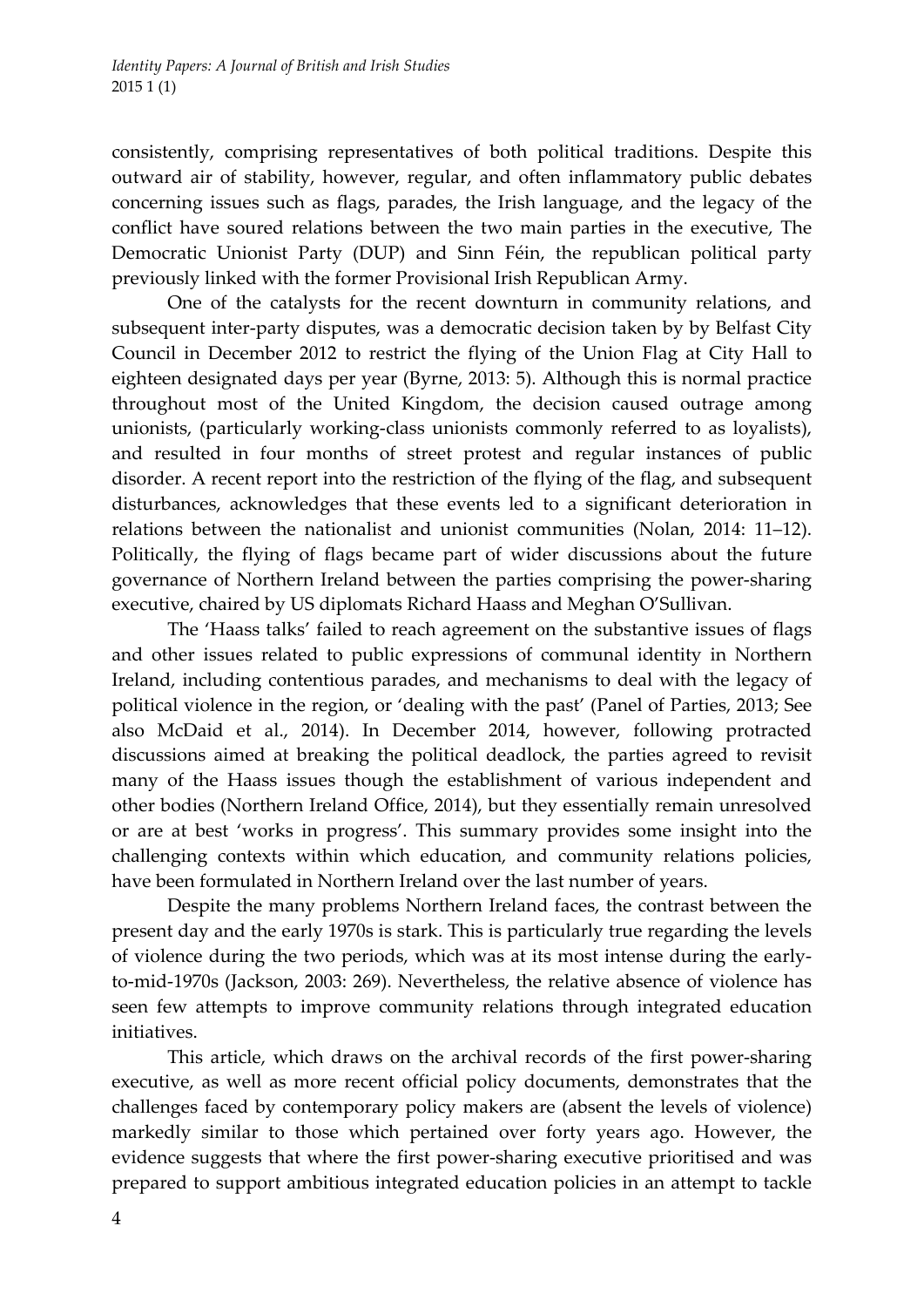consistently, comprising representatives of both political traditions. Despite this outward air of stability, however, regular, and often inflammatory public debates concerning issues such as flags, parades, the Irish language, and the legacy of the conflict have soured relations between the two main parties in the executive, The Democratic Unionist Party (DUP) and Sinn Féin, the republican political party previously linked with the former Provisional Irish Republican Army.

One of the catalysts for the recent downturn in community relations, and subsequent inter-party disputes, was a democratic decision taken by by Belfast City Council in December 2012 to restrict the flying of the Union Flag at City Hall to eighteen designated days per year (Byrne, 2013: 5). Although this is normal practice throughout most of the United Kingdom, the decision caused outrage among unionists, (particularly working‐class unionists commonly referred to as loyalists), and resulted in four months of street protest and regular instances of public disorder. A recent report into the restriction of the flying of the flag, and subsequent disturbances, acknowledges that these events led to a significant deterioration in relations between the nationalist and unionist communities (Nolan, 2014: 11–12). Politically, the flying of flags became part of wider discussions about the future governance of Northern Ireland between the parties comprising the power‐sharing executive, chaired by US diplomats Richard Haass and Meghan O'Sullivan.

The 'Haass talks' failed to reach agreement on the substantive issues of flags and other issues related to public expressions of communal identity in Northern Ireland, including contentious parades, and mechanisms to deal with the legacy of political violence in the region, or 'dealing with the past' (Panel of Parties, 2013; See also McDaid et al., 2014). In December 2014, however, following protracted discussions aimed at breaking the political deadlock, the parties agreed to revisit many of the Haass issues though the establishment of various independent and other bodies (Northern Ireland Office, 2014), but they essentially remain unresolved or are at best 'works in progress'. This summary provides some insight into the challenging contexts within which education, and community relations policies, have been formulated in Northern Ireland over the last number of years.

Despite the many problems Northern Ireland faces, the contrast between the present day and the early 1970s is stark. This is particularly true regarding the levels of violence during the two periods, which was at its most intense during the early‐ to‐mid‐1970s (Jackson, 2003: 269). Nevertheless, the relative absence of violence has seen few attempts to improve community relations through integrated education initiatives.

This article, which draws on the archival records of the first power‐sharing executive, as well as more recent official policy documents, demonstrates that the challenges faced by contemporary policy makers are (absent the levels of violence) markedly similar to those which pertained over forty years ago. However, the evidence suggests that where the first power‐sharing executive prioritised and was prepared to support ambitious integrated education policies in an attempt to tackle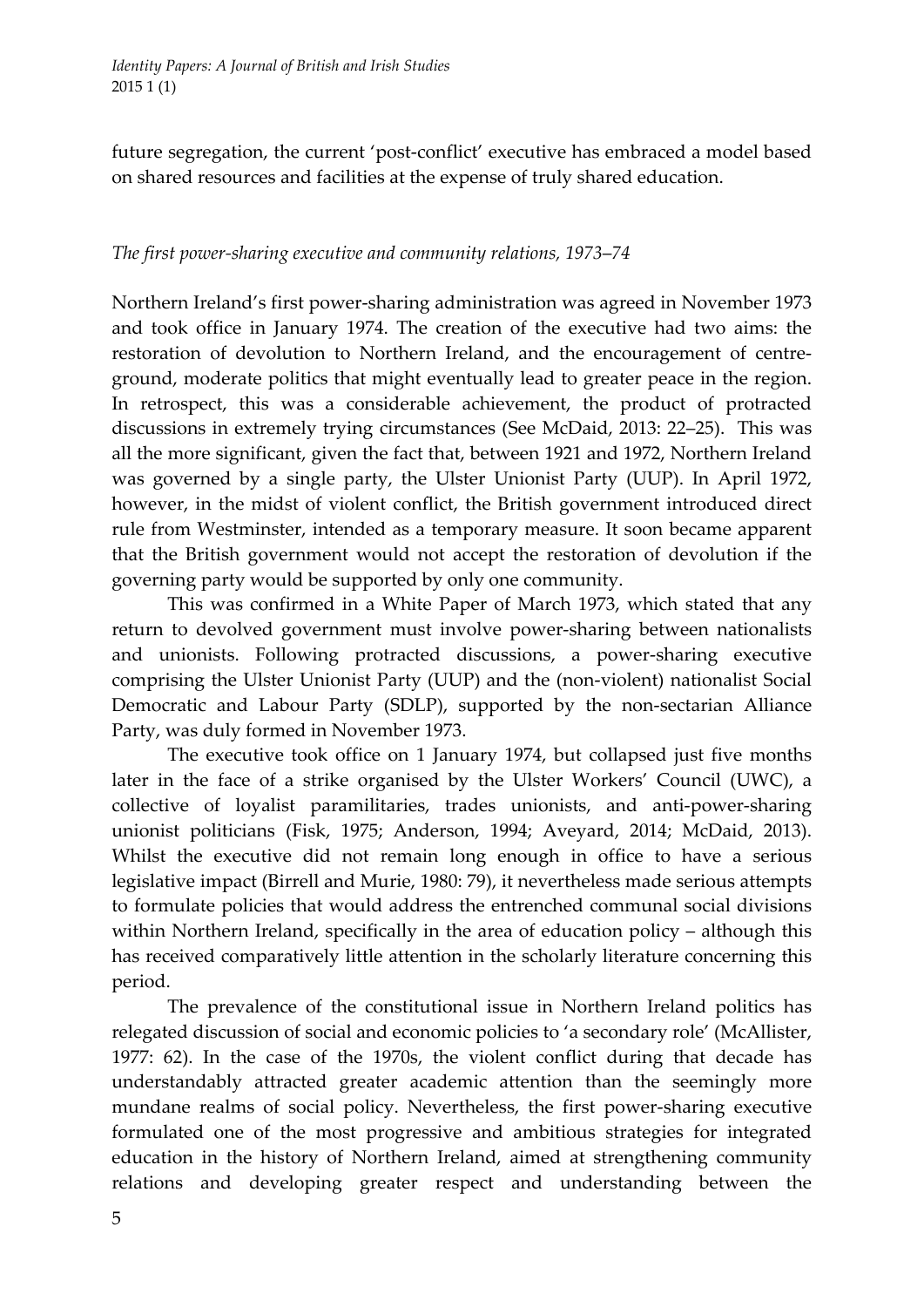future segregation, the current 'post-conflict' executive has embraced a model based on shared resources and facilities at the expense of truly shared education.

# *The first power‐sharing executive and community relations, 1973*–*74*

Northern Ireland's first power‐sharing administration was agreed in November 1973 and took office in January 1974. The creation of the executive had two aims: the restoration of devolution to Northern Ireland, and the encouragement of centreground, moderate politics that might eventually lead to greater peace in the region. In retrospect, this was a considerable achievement, the product of protracted discussions in extremely trying circumstances (See McDaid, 2013: 22–25). This was all the more significant, given the fact that, between 1921 and 1972, Northern Ireland was governed by a single party, the Ulster Unionist Party (UUP). In April 1972, however, in the midst of violent conflict, the British government introduced direct rule from Westminster, intended as a temporary measure. It soon became apparent that the British government would not accept the restoration of devolution if the governing party would be supported by only one community.

This was confirmed in a White Paper of March 1973, which stated that any return to devolved government must involve power‐sharing between nationalists and unionists. Following protracted discussions, a power‐sharing executive comprising the Ulster Unionist Party (UUP) and the (non‐violent) nationalist Social Democratic and Labour Party (SDLP), supported by the non-sectarian Alliance Party, was duly formed in November 1973.

The executive took office on 1 January 1974, but collapsed just five months later in the face of a strike organised by the Ulster Workers' Council (UWC), a collective of loyalist paramilitaries, trades unionists, and anti‐power‐sharing unionist politicians (Fisk, 1975; Anderson, 1994; Aveyard, 2014; McDaid, 2013). Whilst the executive did not remain long enough in office to have a serious legislative impact (Birrell and Murie, 1980: 79), it nevertheless made serious attempts to formulate policies that would address the entrenched communal social divisions within Northern Ireland, specifically in the area of education policy – although this has received comparatively little attention in the scholarly literature concerning this period.

The prevalence of the constitutional issue in Northern Ireland politics has relegated discussion of social and economic policies to 'a secondary role' (McAllister, 1977: 62). In the case of the 1970s, the violent conflict during that decade has understandably attracted greater academic attention than the seemingly more mundane realms of social policy. Nevertheless, the first power-sharing executive formulated one of the most progressive and ambitious strategies for integrated education in the history of Northern Ireland, aimed at strengthening community relations and developing greater respect and understanding between the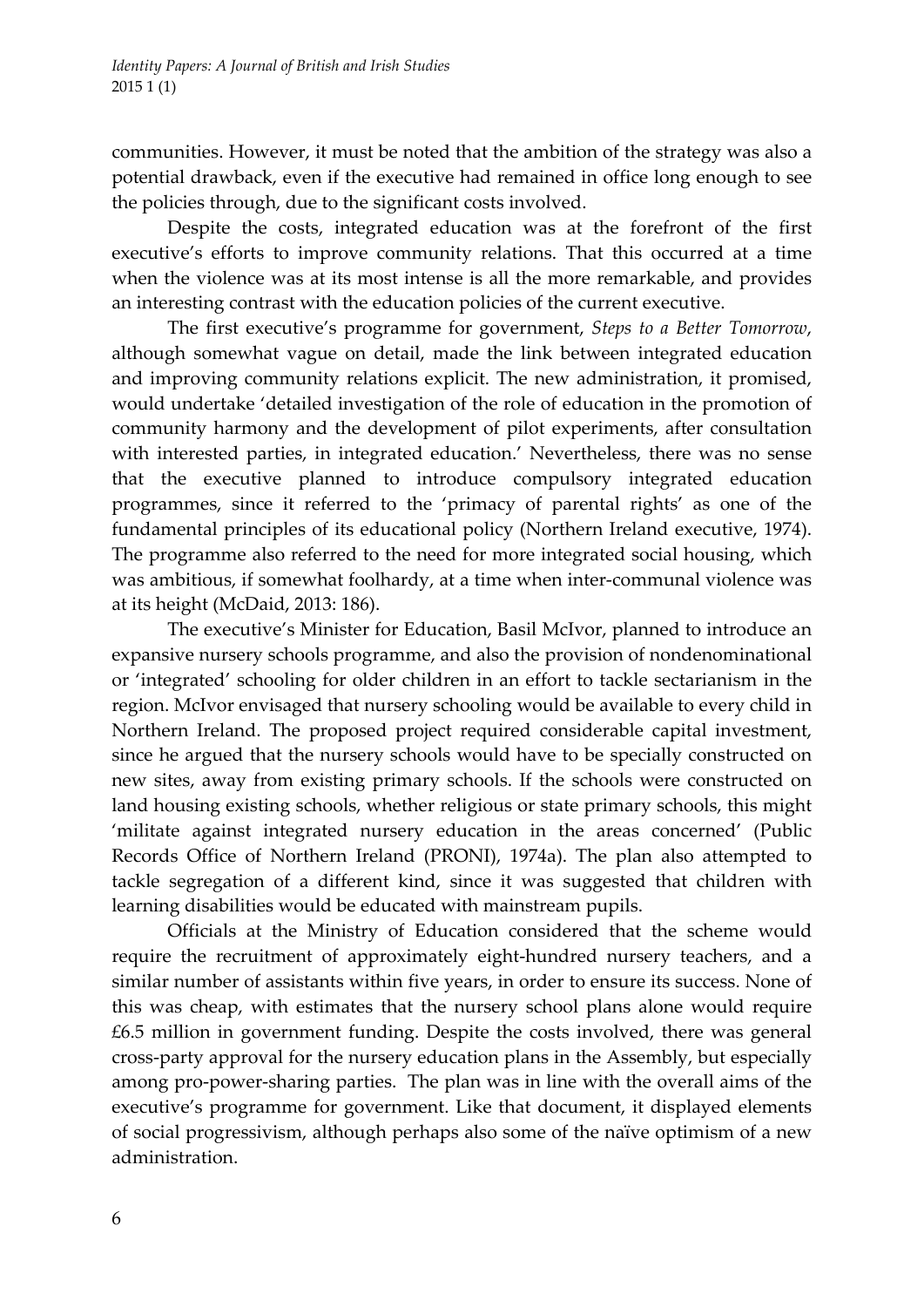communities. However, it must be noted that the ambition of the strategy was also a potential drawback, even if the executive had remained in office long enough to see the policies through, due to the significant costs involved.

Despite the costs, integrated education was at the forefront of the first executive's efforts to improve community relations. That this occurred at a time when the violence was at its most intense is all the more remarkable, and provides an interesting contrast with the education policies of the current executive.

The first executive's programme for government, *Steps to a Better Tomorrow*, although somewhat vague on detail, made the link between integrated education and improving community relations explicit. The new administration, it promised, would undertake 'detailed investigation of the role of education in the promotion of community harmony and the development of pilot experiments, after consultation with interested parties, in integrated education.' Nevertheless, there was no sense that the executive planned to introduce compulsory integrated education programmes, since it referred to the 'primacy of parental rights' as one of the fundamental principles of its educational policy (Northern Ireland executive, 1974). The programme also referred to the need for more integrated social housing, which was ambitious, if somewhat foolhardy, at a time when inter-communal violence was at its height (McDaid, 2013: 186).

The executive's Minister for Education, Basil McIvor, planned to introduce an expansive nursery schools programme, and also the provision of nondenominational or 'integrated' schooling for older children in an effort to tackle sectarianism in the region. McIvor envisaged that nursery schooling would be available to every child in Northern Ireland. The proposed project required considerable capital investment, since he argued that the nursery schools would have to be specially constructed on new sites, away from existing primary schools. If the schools were constructed on land housing existing schools, whether religious or state primary schools, this might 'militate against integrated nursery education in the areas concerned' (Public Records Office of Northern Ireland (PRONI), 1974a). The plan also attempted to tackle segregation of a different kind, since it was suggested that children with learning disabilities would be educated with mainstream pupils.

Officials at the Ministry of Education considered that the scheme would require the recruitment of approximately eight-hundred nursery teachers, and a similar number of assistants within five years, in order to ensure its success. None of this was cheap, with estimates that the nursery school plans alone would require £6.5 million in government funding. Despite the costs involved, there was general cross‐party approval for the nursery education plans in the Assembly, but especially among pro‐power‐sharing parties. The plan was in line with the overall aims of the executive's programme for government. Like that document, it displayed elements of social progressivism, although perhaps also some of the naïve optimism of a new administration.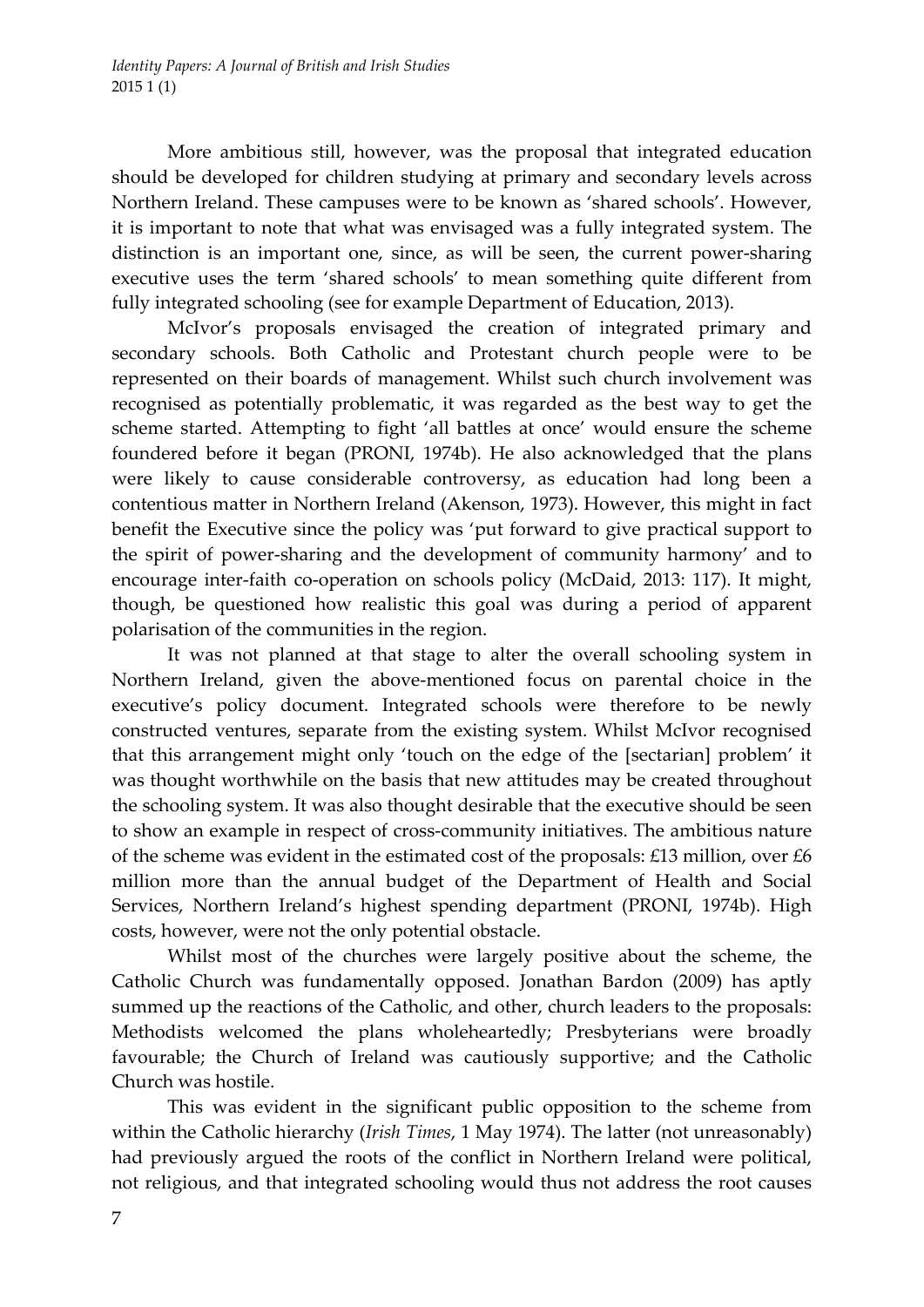More ambitious still, however, was the proposal that integrated education should be developed for children studying at primary and secondary levels across Northern Ireland. These campuses were to be known as 'shared schools'. However, it is important to note that what was envisaged was a fully integrated system. The distinction is an important one, since, as will be seen, the current power-sharing executive uses the term 'shared schools' to mean something quite different from fully integrated schooling (see for example Department of Education, 2013).

McIvor's proposals envisaged the creation of integrated primary and secondary schools. Both Catholic and Protestant church people were to be represented on their boards of management. Whilst such church involvement was recognised as potentially problematic, it was regarded as the best way to get the scheme started. Attempting to fight 'all battles at once' would ensure the scheme foundered before it began (PRONI, 1974b). He also acknowledged that the plans were likely to cause considerable controversy, as education had long been a contentious matter in Northern Ireland (Akenson, 1973). However, this might in fact benefit the Executive since the policy was 'put forward to give practical support to the spirit of power‐sharing and the development of community harmony' and to encourage inter-faith co-operation on schools policy (McDaid, 2013: 117). It might, though, be questioned how realistic this goal was during a period of apparent polarisation of the communities in the region.

It was not planned at that stage to alter the overall schooling system in Northern Ireland, given the above‐mentioned focus on parental choice in the executive's policy document. Integrated schools were therefore to be newly constructed ventures, separate from the existing system. Whilst McIvor recognised that this arrangement might only 'touch on the edge of the [sectarian] problem' it was thought worthwhile on the basis that new attitudes may be created throughout the schooling system. It was also thought desirable that the executive should be seen to show an example in respect of cross‐community initiatives. The ambitious nature of the scheme was evident in the estimated cost of the proposals:  $£13$  million, over  $£6$ million more than the annual budget of the Department of Health and Social Services, Northern Ireland's highest spending department (PRONI, 1974b). High costs, however, were not the only potential obstacle.

Whilst most of the churches were largely positive about the scheme, the Catholic Church was fundamentally opposed. Jonathan Bardon (2009) has aptly summed up the reactions of the Catholic, and other, church leaders to the proposals: Methodists welcomed the plans wholeheartedly; Presbyterians were broadly favourable; the Church of Ireland was cautiously supportive; and the Catholic Church was hostile.

This was evident in the significant public opposition to the scheme from within the Catholic hierarchy (*Irish Times*, 1 May 1974). The latter (not unreasonably) had previously argued the roots of the conflict in Northern Ireland were political, not religious, and that integrated schooling would thus not address the root causes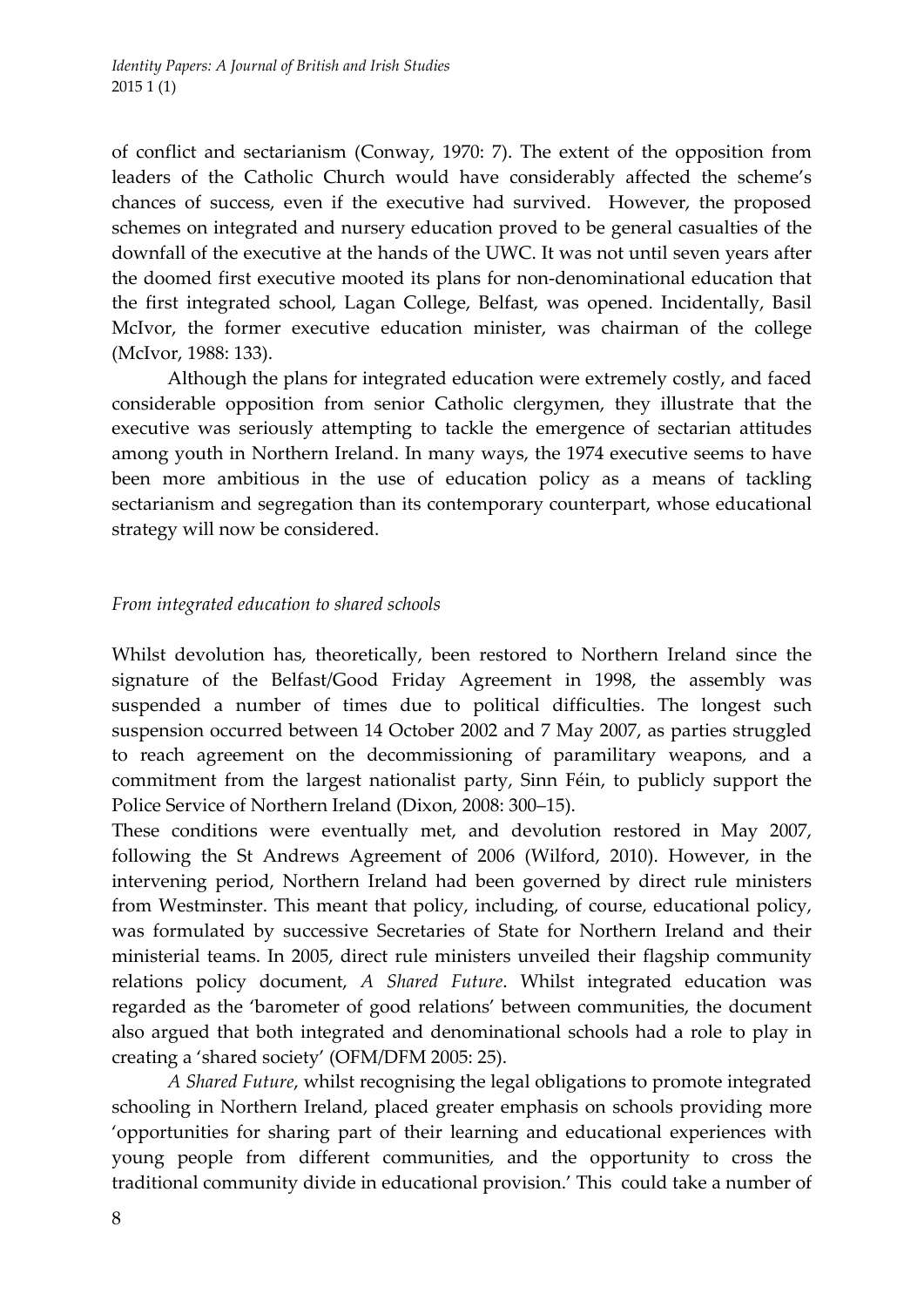of conflict and sectarianism (Conway, 1970: 7). The extent of the opposition from leaders of the Catholic Church would have considerably affected the scheme's chances of success, even if the executive had survived. However, the proposed schemes on integrated and nursery education proved to be general casualties of the downfall of the executive at the hands of the UWC. It was not until seven years after the doomed first executive mooted its plans for non‐denominational education that the first integrated school, Lagan College, Belfast, was opened. Incidentally, Basil McIvor, the former executive education minister, was chairman of the college (McIvor, 1988: 133).

Although the plans for integrated education were extremely costly, and faced considerable opposition from senior Catholic clergymen, they illustrate that the executive was seriously attempting to tackle the emergence of sectarian attitudes among youth in Northern Ireland. In many ways, the 1974 executive seems to have been more ambitious in the use of education policy as a means of tackling sectarianism and segregation than its contemporary counterpart, whose educational strategy will now be considered.

# *From integrated education to shared schools*

Whilst devolution has, theoretically, been restored to Northern Ireland since the signature of the Belfast/Good Friday Agreement in 1998, the assembly was suspended a number of times due to political difficulties. The longest such suspension occurred between 14 October 2002 and 7 May 2007, as parties struggled to reach agreement on the decommissioning of paramilitary weapons, and a commitment from the largest nationalist party, Sinn Féin, to publicly support the Police Service of Northern Ireland (Dixon, 2008: 300–15).

These conditions were eventually met, and devolution restored in May 2007, following the St Andrews Agreement of 2006 (Wilford, 2010). However, in the intervening period, Northern Ireland had been governed by direct rule ministers from Westminster. This meant that policy, including, of course, educational policy, was formulated by successive Secretaries of State for Northern Ireland and their ministerial teams. In 2005, direct rule ministers unveiled their flagship community relations policy document, *A Shared Future*. Whilst integrated education was regarded as the 'barometer of good relations' between communities, the document also argued that both integrated and denominational schools had a role to play in creating a 'shared society' (OFM/DFM 2005: 25).

*A Shared Future*, whilst recognising the legal obligations to promote integrated schooling in Northern Ireland, placed greater emphasis on schools providing more 'opportunities for sharing part of their learning and educational experiences with young people from different communities, and the opportunity to cross the traditional community divide in educational provision.' This could take a number of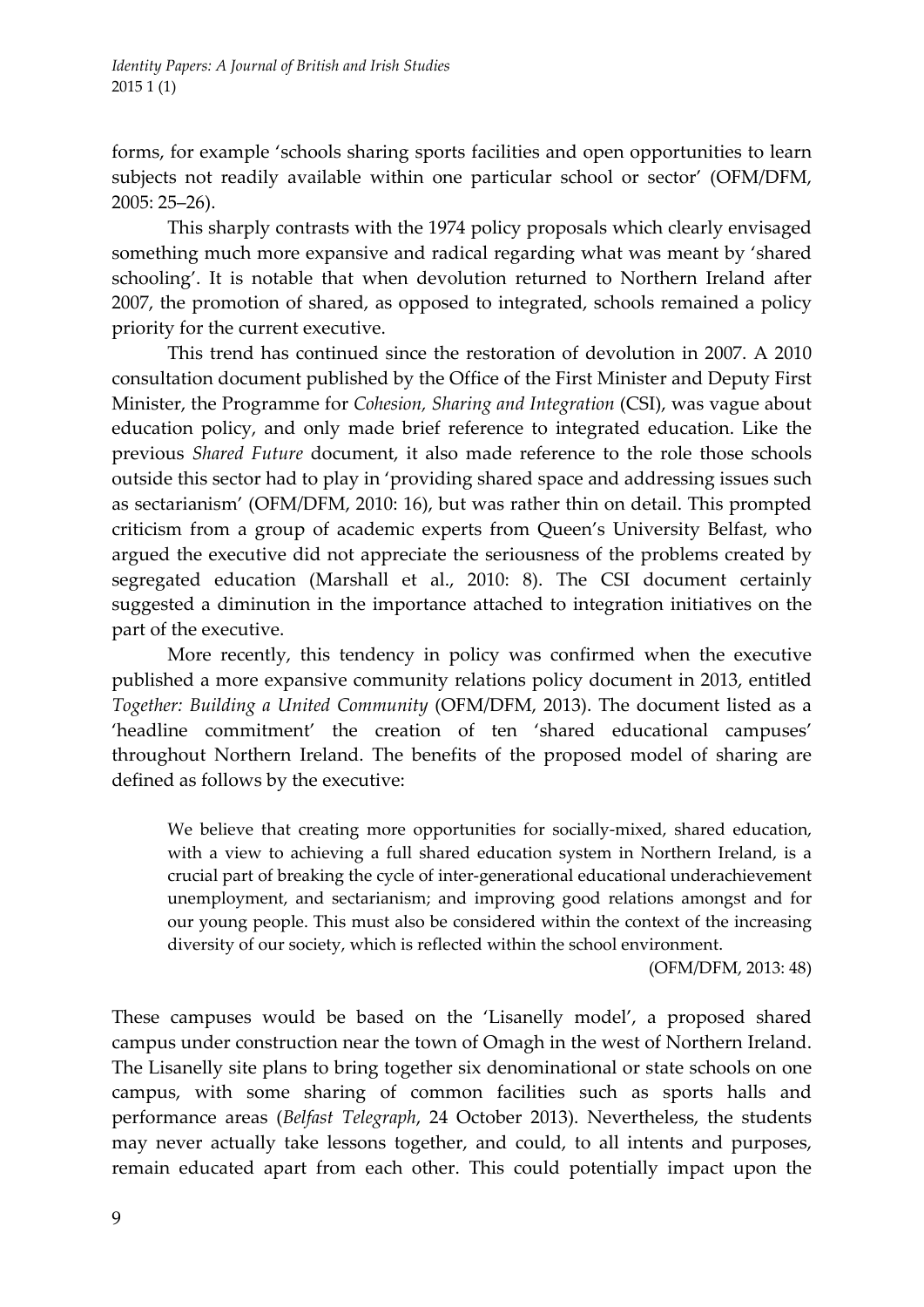forms, for example 'schools sharing sports facilities and open opportunities to learn subjects not readily available within one particular school or sector' (OFM/DFM, 2005: 25–26).

This sharply contrasts with the 1974 policy proposals which clearly envisaged something much more expansive and radical regarding what was meant by 'shared schooling'. It is notable that when devolution returned to Northern Ireland after 2007, the promotion of shared, as opposed to integrated, schools remained a policy priority for the current executive.

This trend has continued since the restoration of devolution in 2007. A 2010 consultation document published by the Office of the First Minister and Deputy First Minister, the Programme for *Cohesion, Sharing and Integration* (CSI), was vague about education policy, and only made brief reference to integrated education. Like the previous *Shared Future* document, it also made reference to the role those schools outside this sector had to play in 'providing shared space and addressing issues such as sectarianism' (OFM/DFM, 2010: 16), but was rather thin on detail. This prompted criticism from a group of academic experts from Queen's University Belfast, who argued the executive did not appreciate the seriousness of the problems created by segregated education (Marshall et al., 2010: 8). The CSI document certainly suggested a diminution in the importance attached to integration initiatives on the part of the executive.

More recently, this tendency in policy was confirmed when the executive published a more expansive community relations policy document in 2013, entitled *Together: Building a United Community* (OFM/DFM, 2013). The document listed as a 'headline commitment' the creation of ten 'shared educational campuses' throughout Northern Ireland. The benefits of the proposed model of sharing are defined as follows by the executive:

We believe that creating more opportunities for socially-mixed, shared education, with a view to achieving a full shared education system in Northern Ireland, is a crucial part of breaking the cycle of inter‐generational educational underachievement unemployment, and sectarianism; and improving good relations amongst and for our young people. This must also be considered within the context of the increasing diversity of our society, which is reflected within the school environment.

(OFM/DFM, 2013: 48)

These campuses would be based on the 'Lisanelly model', a proposed shared campus under construction near the town of Omagh in the west of Northern Ireland. The Lisanelly site plans to bring together six denominational or state schools on one campus, with some sharing of common facilities such as sports halls and performance areas (*Belfast Telegraph*, 24 October 2013). Nevertheless, the students may never actually take lessons together, and could, to all intents and purposes, remain educated apart from each other. This could potentially impact upon the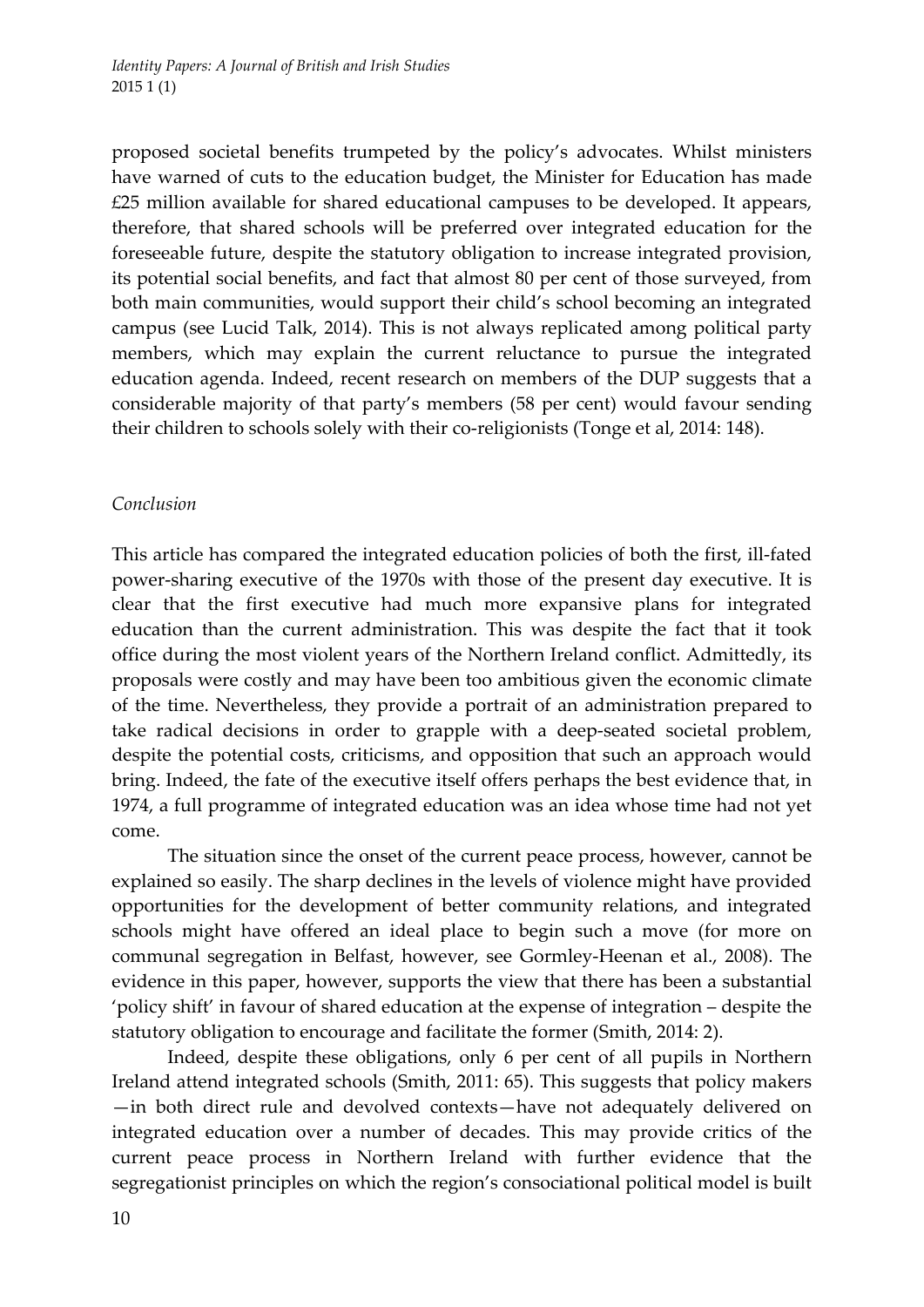proposed societal benefits trumpeted by the policy's advocates. Whilst ministers have warned of cuts to the education budget, the Minister for Education has made £25 million available for shared educational campuses to be developed. It appears, therefore, that shared schools will be preferred over integrated education for the foreseeable future, despite the statutory obligation to increase integrated provision, its potential social benefits, and fact that almost 80 per cent of those surveyed, from both main communities, would support their child's school becoming an integrated campus (see Lucid Talk, 2014). This is not always replicated among political party members, which may explain the current reluctance to pursue the integrated education agenda. Indeed, recent research on members of the DUP suggests that a considerable majority of that party's members (58 per cent) would favour sending their children to schools solely with their co-religionists (Tonge et al, 2014: 148).

# *Conclusion*

This article has compared the integrated education policies of both the first, ill-fated power‐sharing executive of the 1970s with those of the present day executive. It is clear that the first executive had much more expansive plans for integrated education than the current administration. This was despite the fact that it took office during the most violent years of the Northern Ireland conflict. Admittedly, its proposals were costly and may have been too ambitious given the economic climate of the time. Nevertheless, they provide a portrait of an administration prepared to take radical decisions in order to grapple with a deep‐seated societal problem, despite the potential costs, criticisms, and opposition that such an approach would bring. Indeed, the fate of the executive itself offers perhaps the best evidence that, in 1974, a full programme of integrated education was an idea whose time had not yet come.

The situation since the onset of the current peace process, however, cannot be explained so easily. The sharp declines in the levels of violence might have provided opportunities for the development of better community relations, and integrated schools might have offered an ideal place to begin such a move (for more on communal segregation in Belfast, however, see Gormley‐Heenan et al., 2008). The evidence in this paper, however, supports the view that there has been a substantial 'policy shift' in favour of shared education at the expense of integration – despite the statutory obligation to encourage and facilitate the former (Smith, 2014: 2).

Indeed, despite these obligations, only 6 per cent of all pupils in Northern Ireland attend integrated schools (Smith, 2011: 65). This suggests that policy makers —in both direct rule and devolved contexts—have not adequately delivered on integrated education over a number of decades. This may provide critics of the current peace process in Northern Ireland with further evidence that the segregationist principles on which the region's consociational political model is built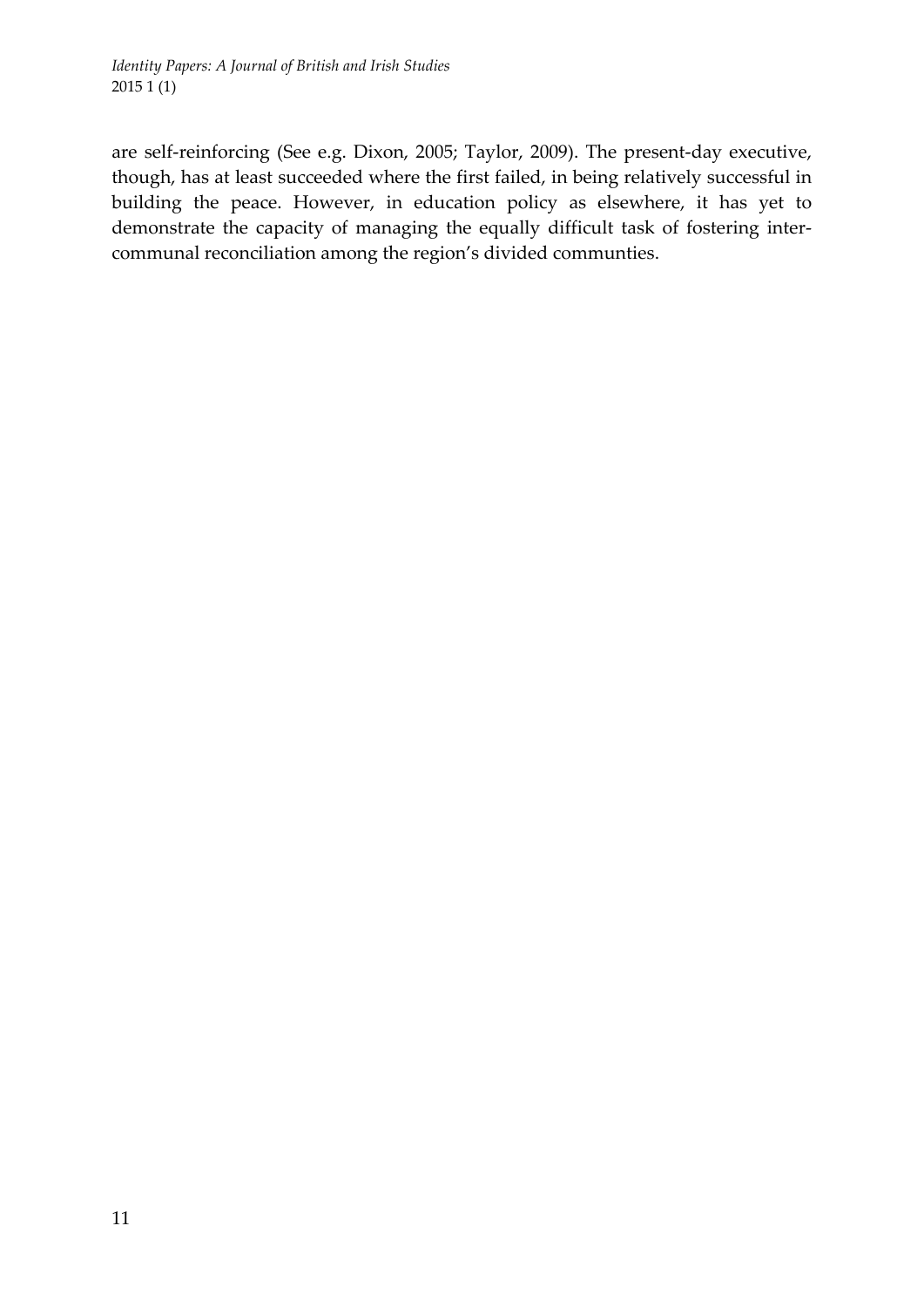are self‐reinforcing (See e.g. Dixon, 2005; Taylor, 2009). The present‐day executive, though, has at least succeeded where the first failed, in being relatively successful in building the peace. However, in education policy as elsewhere, it has yet to demonstrate the capacity of managing the equally difficult task of fostering inter‐ communal reconciliation among the region's divided communties.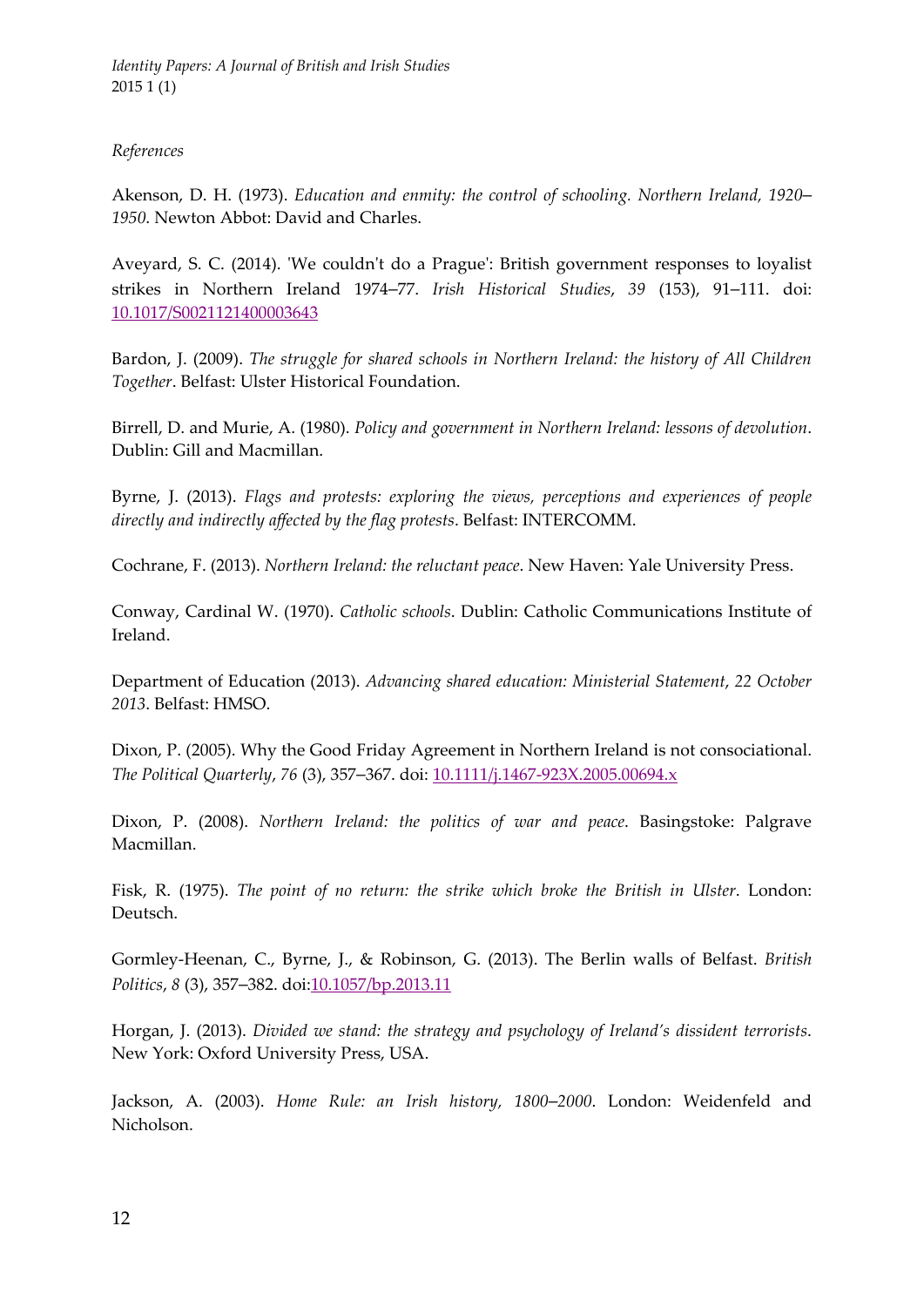*Identity Papers: A Journal of British and Irish Studies* 2015 1 (1)

#### *References*

Akenson, D. H. (1973). *Education and enmity: the control of schooling. Northern Ireland, 1920*– *1950*. Newton Abbot: David and Charles.

Aveyard, S. C. (2014). 'We couldn't do a Prague': British government responses to loyalist strikes in Northern Ireland 1974–77. *Irish Historical Studies*, *39* (153), 91–111. doi: 10.1017/S0021121400003643

Bardon, J. (2009). *The struggle for shared schools in Northern Ireland: the history of All Children Together*. Belfast: Ulster Historical Foundation.

Birrell, D. and Murie, A. (1980). *Policy and government in Northern Ireland: lessons of devolution*. Dublin: Gill and Macmillan.

Byrne, J. (2013). *Flags and protests: exploring the views, perceptions and experiences of people directly and indirectly affected by the flag protests*. Belfast: INTERCOMM.

Cochrane, F. (2013). *Northern Ireland: the reluctant peace*. New Haven: Yale University Press.

Conway, Cardinal W. (1970). *Catholic schools*. Dublin: Catholic Communications Institute of Ireland.

Department of Education (2013). *Advancing shared education: Ministerial Statement*, *22 October 2013*. Belfast: HMSO.

Dixon, P. (2005). Why the Good Friday Agreement in Northern Ireland is not consociational. *The Political Quarterly*, *76* (3), 357–367. doi: 10.1111/j.1467‐923X.2005.00694.x

Dixon, P. (2008). *Northern Ireland: the politics of war and peace*. Basingstoke: Palgrave Macmillan.

Fisk, R. (1975). *The point of no return: the strike which broke the British in Ulster*. London: Deutsch.

Gormley‐Heenan, C., Byrne, J., & Robinson, G. (2013). The Berlin walls of Belfast. *British Politics*, *8* (3), 357–382. doi:10.1057/bp.2013.11

Horgan, J. (2013). *Divided we stand: the strategy and psychology of Ireland's dissident terrorists*. New York: Oxford University Press, USA.

Jackson, A. (2003). *Home Rule: an Irish history, 1800*–*2000*. London: Weidenfeld and Nicholson.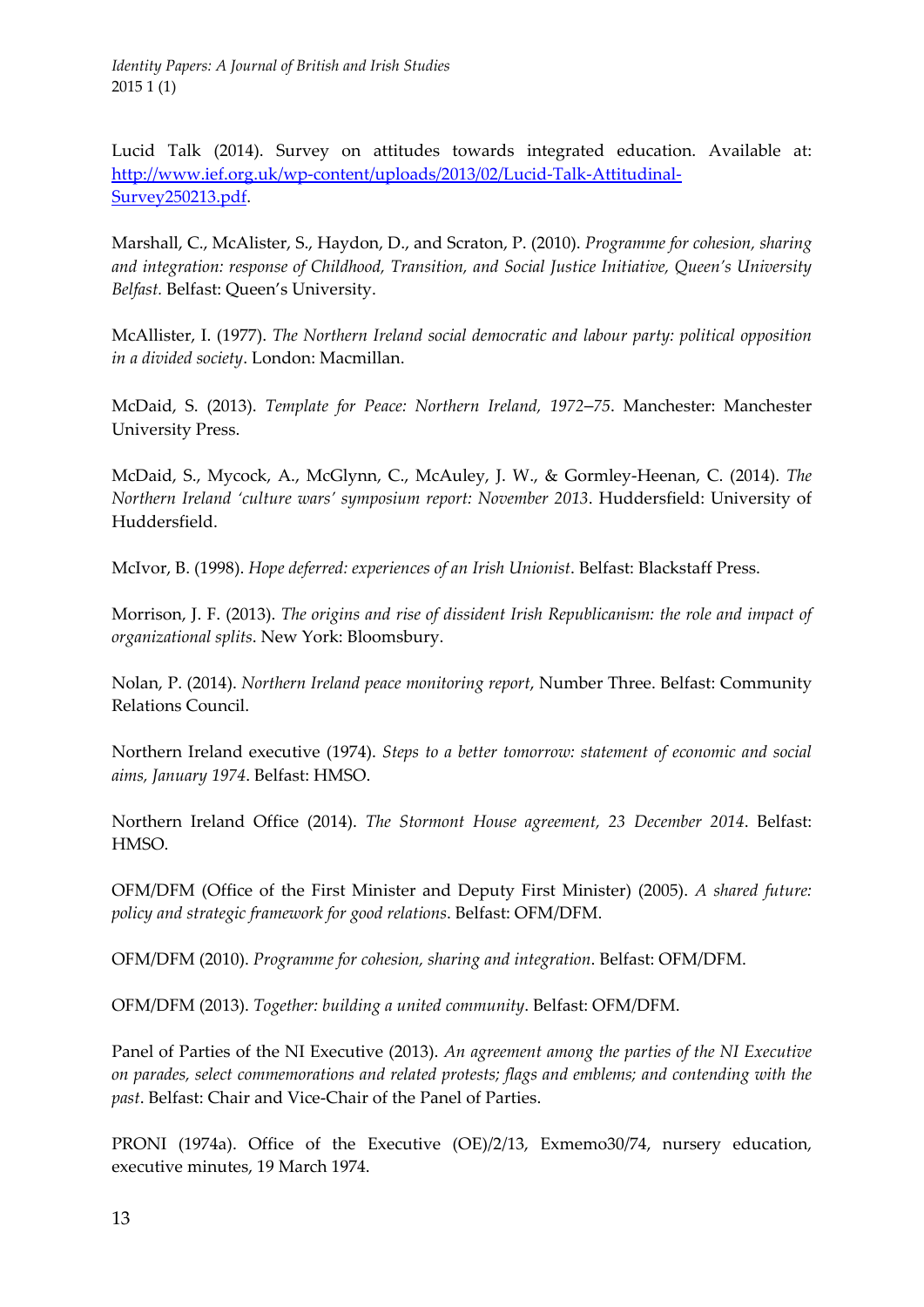Lucid Talk (2014). Survey on attitudes towards integrated education. Available at: http://www.ief.org.uk/wp‐content/uploads/2013/02/Lucid‐Talk‐Attitudinal‐ Survey250213.pdf.

Marshall, C., McAlister, S., Haydon, D., and Scraton, P. (2010). *Programme for cohesion, sharing and integration: response of Childhood, Transition, and Social Justice Initiative, Queen's University Belfast.* Belfast: Queen's University.

McAllister, I. (1977). *The Northern Ireland social democratic and labour party: political opposition in a divided society*. London: Macmillan.

McDaid, S. (2013). *Template for Peace: Northern Ireland, 1972*–*75*. Manchester: Manchester University Press.

McDaid, S., Mycock, A., McGlynn, C., McAuley, J. W., & Gormley‐Heenan, C. (2014). *The Northern Ireland 'culture wars' symposium report: November 2013*. Huddersfield: University of Huddersfield.

McIvor, B. (1998). *Hope deferred: experiences of an Irish Unionist*. Belfast: Blackstaff Press.

Morrison, J. F. (2013). *The origins and rise of dissident Irish Republicanism: the role and impact of organizational splits*. New York: Bloomsbury.

Nolan, P. (2014). *Northern Ireland peace monitoring report*, Number Three. Belfast: Community Relations Council.

Northern Ireland executive (1974). *Steps to a better tomorrow: statement of economic and social aims, January 1974*. Belfast: HMSO.

Northern Ireland Office (2014). *The Stormont House agreement, 23 December 2014*. Belfast: HMSO.

OFM/DFM (Office of the First Minister and Deputy First Minister) (2005). *A shared future: policy and strategic framework for good relations*. Belfast: OFM/DFM.

OFM/DFM (2010). *Programme for cohesion, sharing and integration*. Belfast: OFM/DFM.

OFM/DFM (2013). *Together: building a united community*. Belfast: OFM/DFM.

Panel of Parties of the NI Executive (2013). *An agreement among the parties of the NI Executive on parades, select commemorations and related protests; flags and emblems; and contending with the past*. Belfast: Chair and Vice‐Chair of the Panel of Parties.

PRONI (1974a). Office of the Executive (OE)/2/13, Exmemo30/74, nursery education, executive minutes, 19 March 1974.